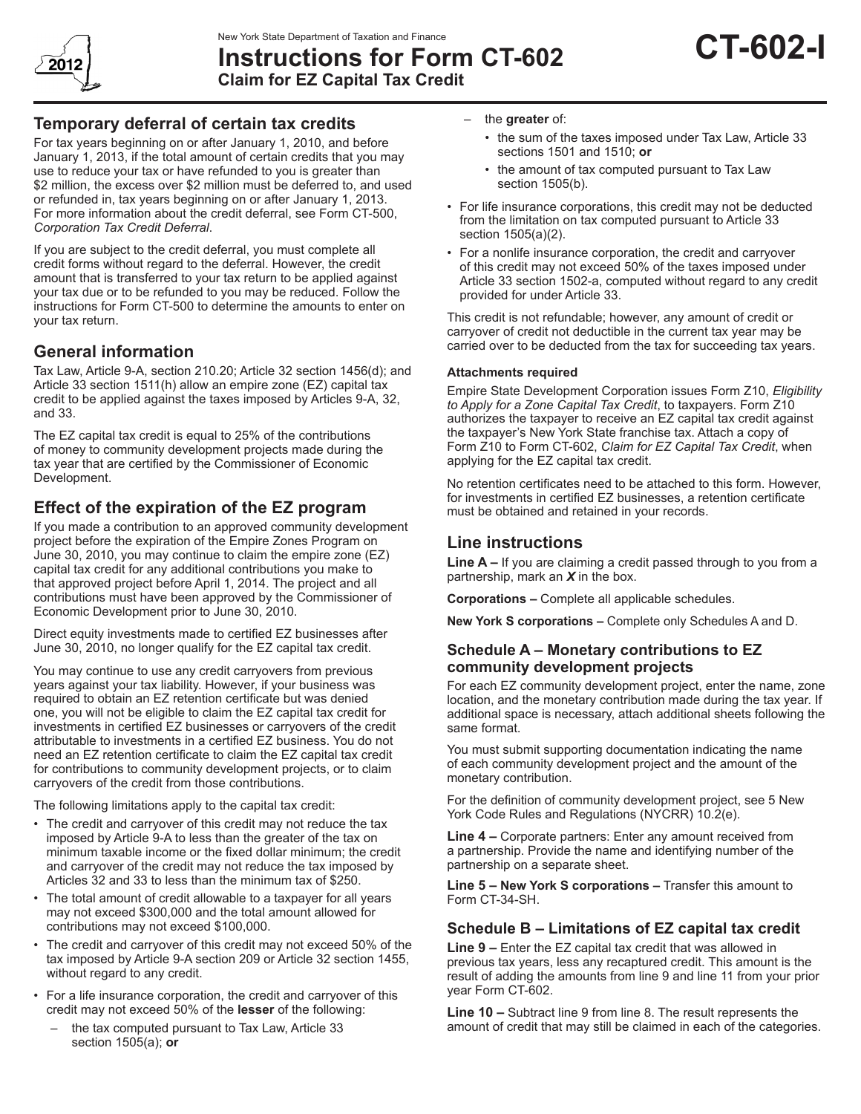

New York State Department of Taxation and Finance<br>Instructions for Form CT-602 **CT-602-I Claim for EZ Capital Tax Credit**

## **Temporary deferral of certain tax credits**

For tax years beginning on or after January 1, 2010, and before January 1, 2013, if the total amount of certain credits that you may use to reduce your tax or have refunded to you is greater than \$2 million, the excess over \$2 million must be deferred to, and used or refunded in, tax years beginning on or after January 1, 2013. For more information about the credit deferral, see Form CT-500, *Corporation Tax Credit Deferral*.

If you are subject to the credit deferral, you must complete all credit forms without regard to the deferral. However, the credit amount that is transferred to your tax return to be applied against your tax due or to be refunded to you may be reduced. Follow the instructions for Form CT-500 to determine the amounts to enter on your tax return.

## **General information**

Tax Law, Article 9-A, section 210.20; Article 32 section 1456(d); and Article 33 section 1511(h) allow an empire zone (EZ) capital tax credit to be applied against the taxes imposed by Articles 9-A, 32, and 33.

The EZ capital tax credit is equal to 25% of the contributions of money to community development projects made during the tax year that are certified by the Commissioner of Economic Development.

# **Effect of the expiration of the EZ program**

If you made a contribution to an approved community development project before the expiration of the Empire Zones Program on June 30, 2010, you may continue to claim the empire zone (EZ) capital tax credit for any additional contributions you make to that approved project before April 1, 2014. The project and all contributions must have been approved by the Commissioner of Economic Development prior to June 30, 2010.

Direct equity investments made to certified EZ businesses after June 30, 2010, no longer qualify for the EZ capital tax credit.

You may continue to use any credit carryovers from previous years against your tax liability. However, if your business was required to obtain an EZ retention certificate but was denied one, you will not be eligible to claim the EZ capital tax credit for investments in certified EZ businesses or carryovers of the credit attributable to investments in a certified EZ business. You do not need an EZ retention certificate to claim the EZ capital tax credit for contributions to community development projects, or to claim carryovers of the credit from those contributions.

The following limitations apply to the capital tax credit:

- The credit and carryover of this credit may not reduce the tax imposed by Article 9-A to less than the greater of the tax on minimum taxable income or the fixed dollar minimum; the credit and carryover of the credit may not reduce the tax imposed by Articles 32 and 33 to less than the minimum tax of \$250.
- The total amount of credit allowable to a taxpayer for all years may not exceed \$300,000 and the total amount allowed for contributions may not exceed \$100,000.
- The credit and carryover of this credit may not exceed 50% of the tax imposed by Article 9-A section 209 or Article 32 section 1455, without regard to any credit.
- For a life insurance corporation, the credit and carryover of this credit may not exceed 50% of the **lesser** of the following:
	- the tax computed pursuant to Tax Law, Article 33 section 1505(a); **or**
- the **greater** of:
	- the sum of the taxes imposed under Tax Law, Article 33 sections 1501 and 1510; **or**
	- the amount of tax computed pursuant to Tax Law section 1505(b).
- For life insurance corporations, this credit may not be deducted from the limitation on tax computed pursuant to Article 33 section 1505(a)(2).
- For a nonlife insurance corporation, the credit and carryover of this credit may not exceed 50% of the taxes imposed under Article 33 section 1502-a, computed without regard to any credit provided for under Article 33.

This credit is not refundable; however, any amount of credit or carryover of credit not deductible in the current tax year may be carried over to be deducted from the tax for succeeding tax years.

#### **Attachments required**

Empire State Development Corporation issues Form Z10, *Eligibility to Apply for a Zone Capital Tax Credit*, to taxpayers. Form Z10 authorizes the taxpayer to receive an EZ capital tax credit against the taxpayer's New York State franchise tax. Attach a copy of Form Z10 to Form CT-602, *Claim for EZ Capital Tax Credit*, when applying for the EZ capital tax credit.

No retention certificates need to be attached to this form. However, for investments in certified EZ businesses, a retention certificate must be obtained and retained in your records.

### **Line instructions**

**Line A –** If you are claiming a credit passed through to you from a partnership, mark an *X* in the box.

**Corporations –** Complete all applicable schedules.

**New York S corporations –** Complete only Schedules A and D.

### **Schedule A – Monetary contributions to EZ community development projects**

For each EZ community development project, enter the name, zone location, and the monetary contribution made during the tax year. If additional space is necessary, attach additional sheets following the same format.

You must submit supporting documentation indicating the name of each community development project and the amount of the monetary contribution.

For the definition of community development project, see 5 New York Code Rules and Regulations (NYCRR) 10.2(e).

**Line 4 –** Corporate partners: Enter any amount received from a partnership. Provide the name and identifying number of the partnership on a separate sheet.

**Line 5 – New York S corporations –** Transfer this amount to Form CT-34-SH.

### **Schedule B – Limitations of EZ capital tax credit**

**Line 9 –** Enter the EZ capital tax credit that was allowed in previous tax years, less any recaptured credit. This amount is the result of adding the amounts from line 9 and line 11 from your prior year Form CT-602.

**Line 10 –** Subtract line 9 from line 8. The result represents the amount of credit that may still be claimed in each of the categories.